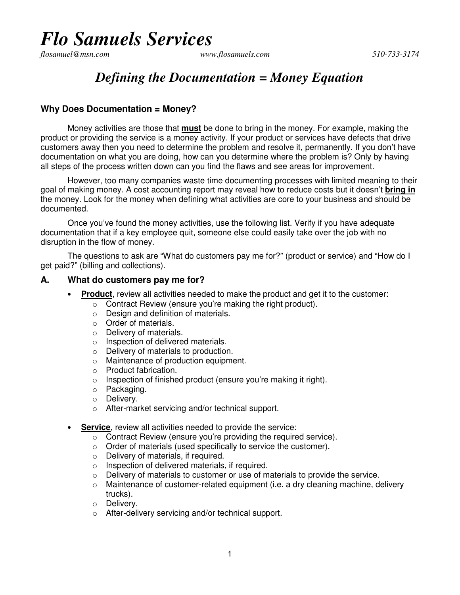# *Flo Samuels Services*

flosamuel@msn.com

#### *flosamuel@msn.com www.flosamuels.com 510-733-3174*

## *Defining the Documentation = Money Equation*

### **Why Does Documentation = Money?**

Money activities are those that **must** be done to bring in the money. For example, making the product or providing the service is a money activity. If your product or services have defects that drive customers away then you need to determine the problem and resolve it, permanently. If you don't have documentation on what you are doing, how can you determine where the problem is? Only by having all steps of the process written down can you find the flaws and see areas for improvement.

However, too many companies waste time documenting processes with limited meaning to their goal of making money. A cost accounting report may reveal how to reduce costs but it doesn't **bring in** the money. Look for the money when defining what activities are core to your business and should be documented.

Once you've found the money activities, use the following list. Verify if you have adequate documentation that if a key employee quit, someone else could easily take over the job with no disruption in the flow of money.

The questions to ask are "What do customers pay me for?" (product or service) and "How do I get paid?" (billing and collections).

#### **A. What do customers pay me for?**

- **Product**, review all activities needed to make the product and get it to the customer:
	- o Contract Review (ensure you're making the right product).
	- $\circ$  Design and definition of materials.
	- o Order of materials.
	- o Delivery of materials.
	- o Inspection of delivered materials.
	- o Delivery of materials to production.
	- o Maintenance of production equipment.
	- o Product fabrication.
	- o Inspection of finished product (ensure you're making it right).
	- o Packaging.
	- o Delivery.
	- o After-market servicing and/or technical support.
- **Service**, review all activities needed to provide the service:
	- $\overline{\circ}$  Contract Review (ensure you're providing the required service).
	- o Order of materials (used specifically to service the customer).
	- o Delivery of materials, if required.
	- o Inspection of delivered materials, if required.
	- $\circ$  Delivery of materials to customer or use of materials to provide the service.
	- $\circ$  Maintenance of customer-related equipment (i.e. a dry cleaning machine, delivery trucks).
	- o Delivery.
	- o After-delivery servicing and/or technical support.